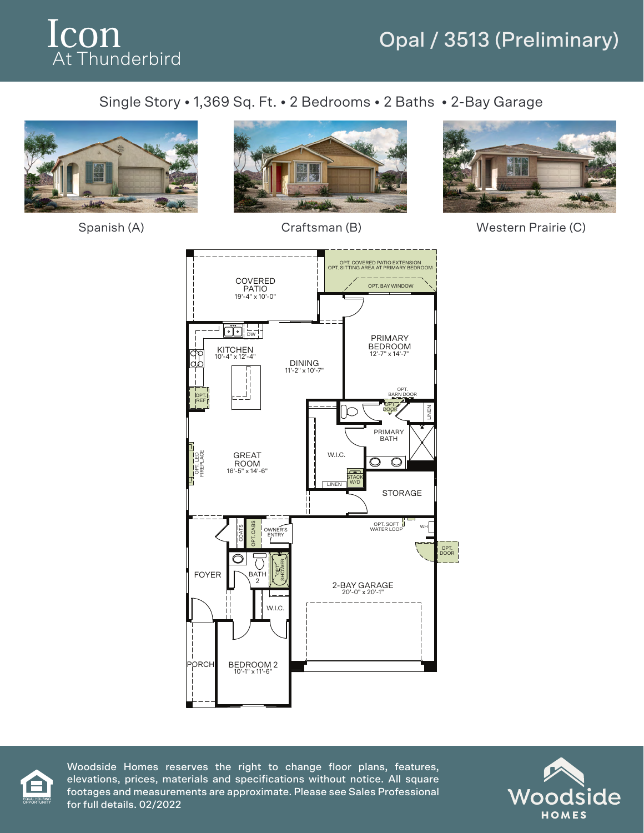

## Opal / 3513 (Preliminary)

## Single Story • 1,369 Sq. Ft. • 2 Bedrooms • 2 Baths • 2-Bay Garage







Spanish (A) Craftsman (B) Western Prairie (C)





Woodside Homes reserves the right to change floor plans, features, elevations, prices, materials and specifications without notice. All square footages and measurements are approximate. Please see Sales Professional for full details. 02/2022